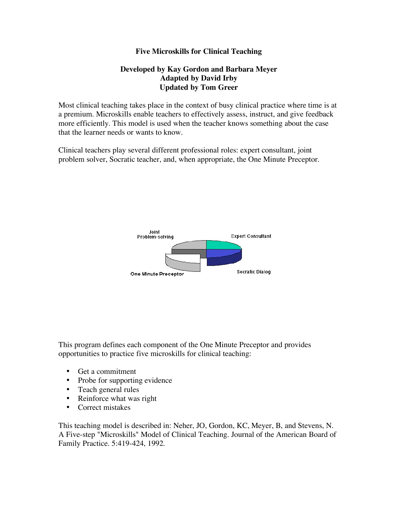# **Five Microskills for Clinical Teaching**

# **Developed by Kay Gordon and Barbara Meyer Adapted by David Irby Updated by Tom Greer**

Most clinical teaching takes place in the context of busy clinical practice where time is at a premium. Microskills enable teachers to effectively assess, instruct, and give feedback more efficiently. This model is used when the teacher knows something about the case that the learner needs or wants to know.

Clinical teachers play several different professional roles: expert consultant, joint problem solver, Socratic teacher, and, when appropriate, the One Minute Preceptor.



This program defines each component of the One Minute Preceptor and provides opportunities to practice five microskills for clinical teaching:

- Get a commitment
- Probe for supporting evidence
- Teach general rules
- Reinforce what was right
- Correct mistakes

This teaching model is described in: Neher, JO, Gordon, KC, Meyer, B, and Stevens, N. A Five-step "Microskills" Model of Clinical Teaching. Journal of the American Board of Family Practice. 5:419-424, 1992.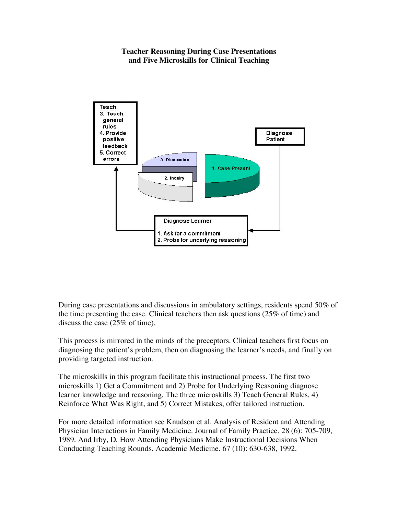# **Teacher Reasoning During Case Presentations and Five Microskills for Clinical Teaching**



During case presentations and discussions in ambulatory settings, residents spend 50% of the time presenting the case. Clinical teachers then ask questions (25% of time) and discuss the case (25% of time).

This process is mirrored in the minds of the preceptors. Clinical teachers first focus on diagnosing the patient's problem, then on diagnosing the learner's needs, and finally on providing targeted instruction.

The microskills in this program facilitate this instructional process. The first two microskills 1) Get a Commitment and 2) Probe for Underlying Reasoning diagnose learner knowledge and reasoning. The three microskills 3) Teach General Rules, 4) Reinforce What Was Right, and 5) Correct Mistakes, offer tailored instruction.

For more detailed information see Knudson et al. Analysis of Resident and Attending Physician Interactions in Family Medicine. Journal of Family Practice. 28 (6): 705-709, 1989. And Irby, D. How Attending Physicians Make Instructional Decisions When Conducting Teaching Rounds. Academic Medicine. 67 (10): 630-638, 1992.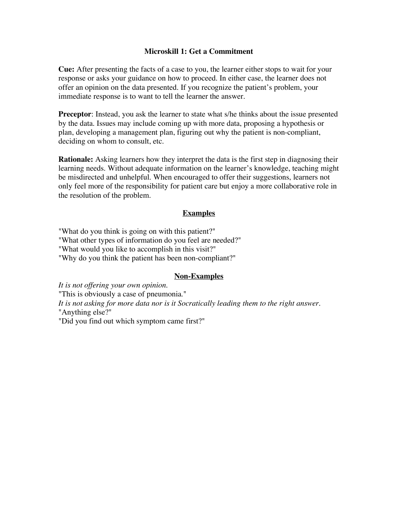# **Microskill 1: Get a Commitment**

**Cue:** After presenting the facts of a case to you, the learner either stops to wait for your response or asks your guidance on how to proceed. In either case, the learner does not offer an opinion on the data presented. If you recognize the patient's problem, your immediate response is to want to tell the learner the answer.

**Preceptor**: Instead, you ask the learner to state what s/he thinks about the issue presented by the data. Issues may include coming up with more data, proposing a hypothesis or plan, developing a management plan, figuring out why the patient is non-compliant, deciding on whom to consult, etc.

**Rationale:** Asking learners how they interpret the data is the first step in diagnosing their learning needs. Without adequate information on the learner's knowledge, teaching might be misdirected and unhelpful. When encouraged to offer their suggestions, learners not only feel more of the responsibility for patient care but enjoy a more collaborative role in the resolution of the problem.

# **Examples**

"What do you think is going on with this patient?"

"What other types of information do you feel are needed?"

"What would you like to accomplish in this visit?"

"Why do you think the patient has been non-compliant?"

# **Non-Examples**

*It is not offering your own opinion.* "This is obviously a case of pneumonia." *It is not asking for more data nor is it Socratically leading them to the right answer.* "Anything else?" "Did you find out which symptom came first?"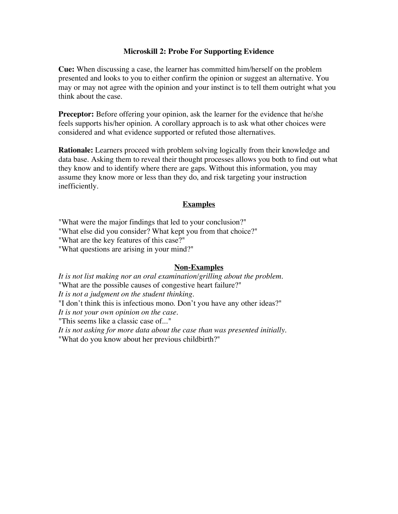# **Microskill 2: Probe For Supporting Evidence**

**Cue:** When discussing a case, the learner has committed him/herself on the problem presented and looks to you to either confirm the opinion or suggest an alternative. You may or may not agree with the opinion and your instinct is to tell them outright what you think about the case.

**Preceptor:** Before offering your opinion, ask the learner for the evidence that he/she feels supports his/her opinion. A corollary approach is to ask what other choices were considered and what evidence supported or refuted those alternatives.

**Rationale:** Learners proceed with problem solving logically from their knowledge and data base. Asking them to reveal their thought processes allows you both to find out what they know and to identify where there are gaps. Without this information, you may assume they know more or less than they do, and risk targeting your instruction inefficiently.

#### **Examples**

"What were the major findings that led to your conclusion?"

"What else did you consider? What kept you from that choice?"

"What are the key features of this case?"

"What questions are arising in your mind?"

#### **Non-Examples**

*It is not list making nor an oral examination/grilling about the problem.* "What are the possible causes of congestive heart failure?" *It is not a judgment on the student thinking.* "I don't think this is infectious mono. Don't you have any other ideas?" *It is not your own opinion on the case.* "This seems like a classic case of..." *It is not asking for more data about the case than was presented initially.* "What do you know about her previous childbirth?"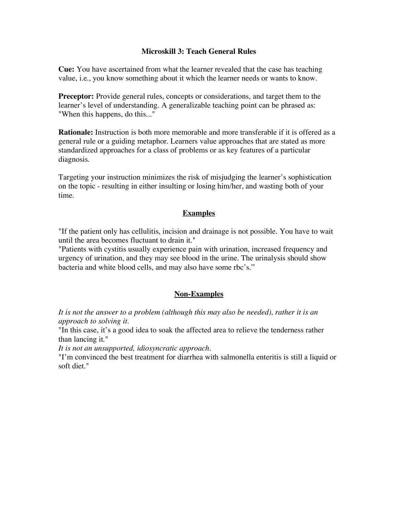# **Microskill 3: Teach General Rules**

**Cue:** You have ascertained from what the learner revealed that the case has teaching value, i.e., you know something about it which the learner needs or wants to know.

**Preceptor:** Provide general rules, concepts or considerations, and target them to the learner's level of understanding. A generalizable teaching point can be phrased as: "When this happens, do this..."

**Rationale:** Instruction is both more memorable and more transferable if it is offered as a general rule or a guiding metaphor. Learners value approaches that are stated as more standardized approaches for a class of problems or as key features of a particular diagnosis.

Targeting your instruction minimizes the risk of misjudging the learner's sophistication on the topic - resulting in either insulting or losing him/her, and wasting both of your time.

# **Examples**

"If the patient only has cellulitis, incision and drainage is not possible. You have to wait until the area becomes fluctuant to drain it."

"Patients with cystitis usually experience pain with urination, increased frequency and urgency of urination, and they may see blood in the urine. The urinalysis should show bacteria and white blood cells, and may also have some rbc's."

# **Non-Examples**

*It is not the answer to a problem (although this may also be needed), rather it is an approach to solving it.*

"In this case, it's a good idea to soak the affected area to relieve the tenderness rather than lancing it."

*It is not an unsupported, idiosyncratic approach.*

"I'm convinced the best treatment for diarrhea with salmonella enteritis is still a liquid or soft diet."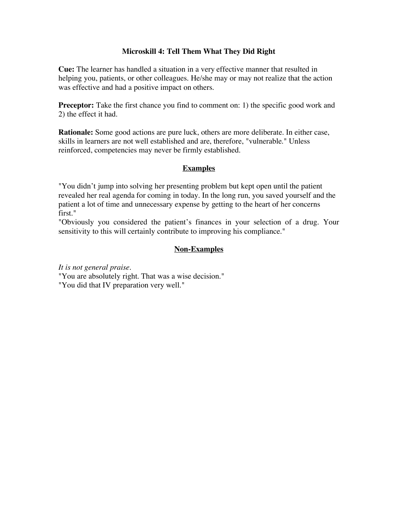# **Microskill 4: Tell Them What They Did Right**

**Cue:** The learner has handled a situation in a very effective manner that resulted in helping you, patients, or other colleagues. He/she may or may not realize that the action was effective and had a positive impact on others.

**Preceptor:** Take the first chance you find to comment on: 1) the specific good work and 2) the effect it had.

**Rationale:** Some good actions are pure luck, others are more deliberate. In either case, skills in learners are not well established and are, therefore, "vulnerable." Unless reinforced, competencies may never be firmly established.

# **Examples**

"You didn't jump into solving her presenting problem but kept open until the patient revealed her real agenda for coming in today. In the long run, you saved yourself and the patient a lot of time and unnecessary expense by getting to the heart of her concerns first."

"Obviously you considered the patient's finances in your selection of a drug. Your sensitivity to this will certainly contribute to improving his compliance."

# **Non-Examples**

*It is not general praise.*

"You are absolutely right. That was a wise decision." "You did that IV preparation very well."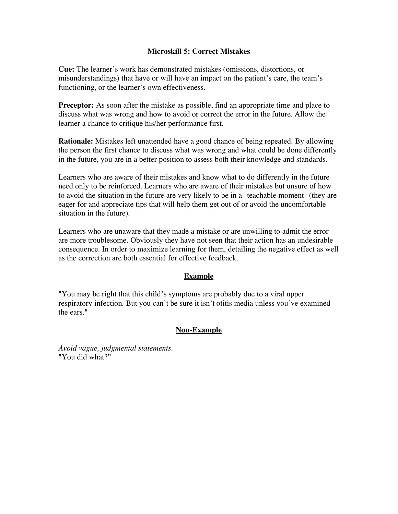# **Microskill 5: Correct Mistakes**

**Cue:** The learner's work has demonstrated mistakes (omissions, distortions, or misunderstandings) that have or will have an impact on the patient's care, the team's functioning, or the learner's own effectiveness.

**Preceptor:** As soon after the mistake as possible, find an appropriate time and place to discuss what was wrong and how to avoid or correct the error in the future. Allow the learner a chance to critique his/her performance first.

**Rationale:** Mistakes left unattended have a good chance of being repeated. By allowing the person the first chance to discuss what was wrong and what could be done differently in the future, you are in a better position to assess both their knowledge and standards.

Learners who are aware of their mistakes and know what to do differently in the future need only to be reinforced. Learners who are aware of their mistakes but unsure of how to avoid the situation in the future are very likely to be in a "teachable moment" (they are eager for and appreciate tips that will help them get out of or avoid the uncomfortable situation in the future).

Learners who are unaware that they made a mistake or are unwilling to admit the error are more troublesome. Obviously they have not seen that their action has an undesirable consequence. In order to maximize learning for them, detailing the negative effect as well as the correction are both essential for effective feedback.

# **Example**

"You may be right that this child's symptoms are probably due to a viral upper respiratory infection. But you can't be sure it isn't otitis media unless you've examined the ears."

# **Non-Example**

*Avoid vague, judgmental statements.* "You did what?"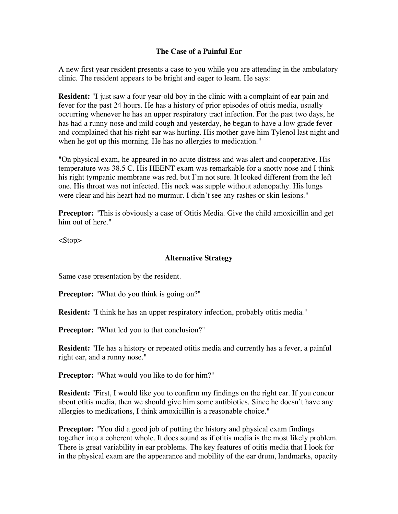# **The Case of a Painful Ear**

A new first year resident presents a case to you while you are attending in the ambulatory clinic. The resident appears to be bright and eager to learn. He says:

**Resident:** "I just saw a four year-old boy in the clinic with a complaint of ear pain and fever for the past 24 hours. He has a history of prior episodes of otitis media, usually occurring whenever he has an upper respiratory tract infection. For the past two days, he has had a runny nose and mild cough and yesterday, he began to have a low grade fever and complained that his right ear was hurting. His mother gave him Tylenol last night and when he got up this morning. He has no allergies to medication."

"On physical exam, he appeared in no acute distress and was alert and cooperative. His temperature was 38.5 C. His HEENT exam was remarkable for a snotty nose and I think his right tympanic membrane was red, but I'm not sure. It looked different from the left one. His throat was not infected. His neck was supple without adenopathy. His lungs were clear and his heart had no murmur. I didn't see any rashes or skin lesions."

**Preceptor:** "This is obviously a case of Otitis Media. Give the child amoxicillin and get him out of here."

 $<$ Stop $>$ 

# **Alternative Strategy**

Same case presentation by the resident.

**Preceptor:** "What do you think is going on?"

**Resident:** "I think he has an upper respiratory infection, probably otitis media."

**Preceptor:** "What led you to that conclusion?"

**Resident:** "He has a history or repeated otitis media and currently has a fever, a painful right ear, and a runny nose."

**Preceptor:** "What would you like to do for him?"

**Resident:** "First, I would like you to confirm my findings on the right ear. If you concur about otitis media, then we should give him some antibiotics. Since he doesn't have any allergies to medications, I think amoxicillin is a reasonable choice."

**Preceptor:** "You did a good job of putting the history and physical exam findings together into a coherent whole. It does sound as if otitis media is the most likely problem. There is great variability in ear problems. The key features of otitis media that I look for in the physical exam are the appearance and mobility of the ear drum, landmarks, opacity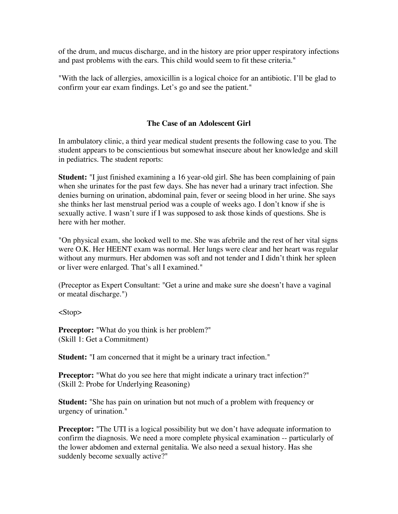of the drum, and mucus discharge, and in the history are prior upper respiratory infections and past problems with the ears. This child would seem to fit these criteria."

"With the lack of allergies, amoxicillin is a logical choice for an antibiotic. I'll be glad to confirm your ear exam findings. Let's go and see the patient."

# **The Case of an Adolescent Girl**

In ambulatory clinic, a third year medical student presents the following case to you. The student appears to be conscientious but somewhat insecure about her knowledge and skill in pediatrics. The student reports:

**Student:** "I just finished examining a 16 year-old girl. She has been complaining of pain when she urinates for the past few days. She has never had a urinary tract infection. She denies burning on urination, abdominal pain, fever or seeing blood in her urine. She says she thinks her last menstrual period was a couple of weeks ago. I don't know if she is sexually active. I wasn't sure if I was supposed to ask those kinds of questions. She is here with her mother.

"On physical exam, she looked well to me. She was afebrile and the rest of her vital signs were O.K. Her HEENT exam was normal. Her lungs were clear and her heart was regular without any murmurs. Her abdomen was soft and not tender and I didn't think her spleen or liver were enlarged. That's all I examined."

(Preceptor as Expert Consultant: "Get a urine and make sure she doesn't have a vaginal or meatal discharge.")

<Stop>

**Preceptor:** "What do you think is her problem?" (Skill 1: Get a Commitment)

**Student:** "I am concerned that it might be a urinary tract infection."

**Preceptor:** "What do you see here that might indicate a urinary tract infection?" (Skill 2: Probe for Underlying Reasoning)

**Student:** "She has pain on urination but not much of a problem with frequency or urgency of urination."

**Preceptor:** "The UTI is a logical possibility but we don't have adequate information to confirm the diagnosis. We need a more complete physical examination -- particularly of the lower abdomen and external genitalia. We also need a sexual history. Has she suddenly become sexually active?"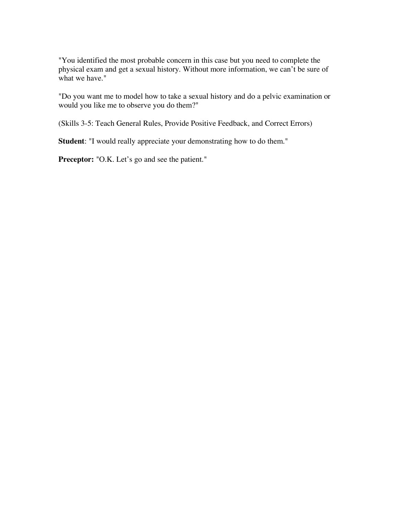"You identified the most probable concern in this case but you need to complete the physical exam and get a sexual history. Without more information, we can't be sure of what we have."

"Do you want me to model how to take a sexual history and do a pelvic examination or would you like me to observe you do them?"

(Skills 3-5: Teach General Rules, Provide Positive Feedback, and Correct Errors)

**Student**: "I would really appreciate your demonstrating how to do them."

Preceptor: "O.K. Let's go and see the patient."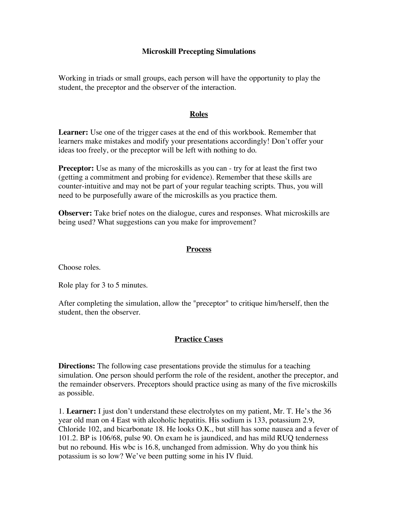# **Microskill Precepting Simulations**

Working in triads or small groups, each person will have the opportunity to play the student, the preceptor and the observer of the interaction.

#### **Roles**

**Learner:** Use one of the trigger cases at the end of this workbook. Remember that learners make mistakes and modify your presentations accordingly! Don't offer your ideas too freely, or the preceptor will be left with nothing to do.

**Preceptor:** Use as many of the microskills as you can - try for at least the first two (getting a commitment and probing for evidence). Remember that these skills are counter-intuitive and may not be part of your regular teaching scripts. Thus, you will need to be purposefully aware of the microskills as you practice them.

**Observer:** Take brief notes on the dialogue, cures and responses. What microskills are being used? What suggestions can you make for improvement?

#### **Process**

Choose roles.

Role play for 3 to 5 minutes.

After completing the simulation, allow the "preceptor" to critique him/herself, then the student, then the observer.

# **Practice Cases**

**Directions:** The following case presentations provide the stimulus for a teaching simulation. One person should perform the role of the resident, another the preceptor, and the remainder observers. Preceptors should practice using as many of the five microskills as possible.

1. **Learner:** I just don't understand these electrolytes on my patient, Mr. T. He's the 36 year old man on 4 East with alcoholic hepatitis. His sodium is 133, potassium 2.9, Chloride 102, and bicarbonate 18. He looks O.K., but still has some nausea and a fever of 101.2. BP is 106/68, pulse 90. On exam he is jaundiced, and has mild RUQ tenderness but no rebound. His wbc is 16.8, unchanged from admission. Why do you think his potassium is so low? We've been putting some in his IV fluid.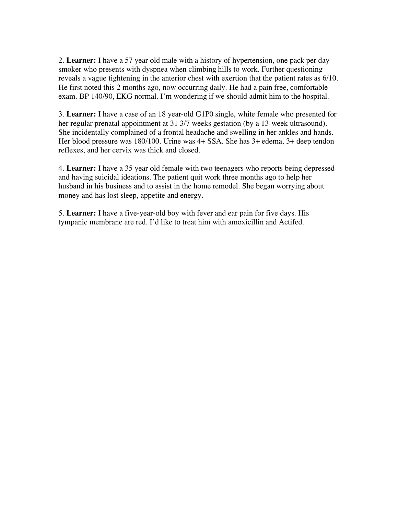2. **Learner:** I have a 57 year old male with a history of hypertension, one pack per day smoker who presents with dyspnea when climbing hills to work. Further questioning reveals a vague tightening in the anterior chest with exertion that the patient rates as 6/10. He first noted this 2 months ago, now occurring daily. He had a pain free, comfortable exam. BP 140/90, EKG normal. I'm wondering if we should admit him to the hospital.

3. **Learner:** I have a case of an 18 year-old G1P0 single, white female who presented for her regular prenatal appointment at 31 3/7 weeks gestation (by a 13-week ultrasound). She incidentally complained of a frontal headache and swelling in her ankles and hands. Her blood pressure was 180/100. Urine was 4+ SSA. She has 3+ edema, 3+ deep tendon reflexes, and her cervix was thick and closed.

4. **Learner:** I have a 35 year old female with two teenagers who reports being depressed and having suicidal ideations. The patient quit work three months ago to help her husband in his business and to assist in the home remodel. She began worrying about money and has lost sleep, appetite and energy.

5. **Learner:** I have a five-year-old boy with fever and ear pain for five days. His tympanic membrane are red. I'd like to treat him with amoxicillin and Actifed.